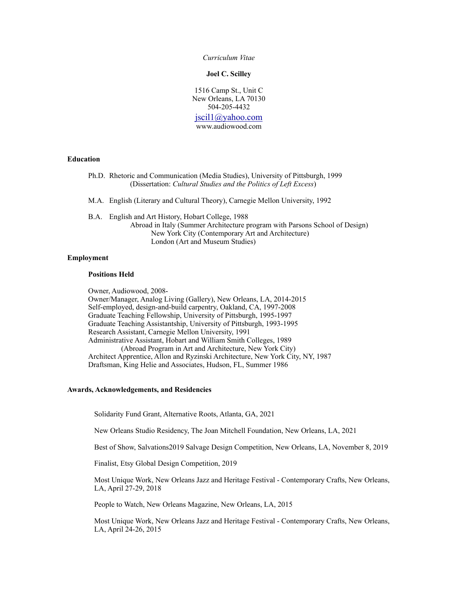*Curriculum Vitae*

**Joel C. Scilley**

1516 Camp St., Unit C New Orleans, LA 70130 504-205-4432

[jscil1@yahoo.com](mailto:jscil1@yahoo.com) www.audiowood.com

#### **Education**

- Ph.D. Rhetoric and Communication (Media Studies), University of Pittsburgh, 1999 (Dissertation: *Cultural Studies and the Politics of Left Excess*)
- M.A. English (Literary and Cultural Theory), Carnegie Mellon University, 1992
- B.A. English and Art History, Hobart College, 1988 Abroad in Italy (Summer Architecture program with Parsons School of Design) New York City (Contemporary Art and Architecture) London (Art and Museum Studies)

# **Employment**

#### **Positions Held**

Owner, Audiowood, 2008-

Owner/Manager, Analog Living (Gallery), New Orleans, LA, 2014-2015 Self-employed, design-and-build carpentry, Oakland, CA, 1997-2008 Graduate Teaching Fellowship, University of Pittsburgh, 1995-1997 Graduate Teaching Assistantship, University of Pittsburgh, 1993-1995 Research Assistant, Carnegie Mellon University, 1991 Administrative Assistant, Hobart and William Smith Colleges, 1989 (Abroad Program in Art and Architecture, New York City) Architect Apprentice, Allon and Ryzinski Architecture, New York City, NY, 1987 Draftsman, King Helie and Associates, Hudson, FL, Summer 1986

### **Awards, Acknowledgements, and Residencies**

Solidarity Fund Grant, Alternative Roots, Atlanta, GA, 2021

New Orleans Studio Residency, The Joan Mitchell Foundation, New Orleans, LA, 2021

Best of Show, Salvations2019 Salvage Design Competition, New Orleans, LA, November 8, 2019

Finalist, Etsy Global Design Competition, 2019

Most Unique Work, New Orleans Jazz and Heritage Festival - Contemporary Crafts, New Orleans, LA, April 27-29, 2018

People to Watch, New Orleans Magazine, New Orleans, LA, 2015

Most Unique Work, New Orleans Jazz and Heritage Festival - Contemporary Crafts, New Orleans, LA, April 24-26, 2015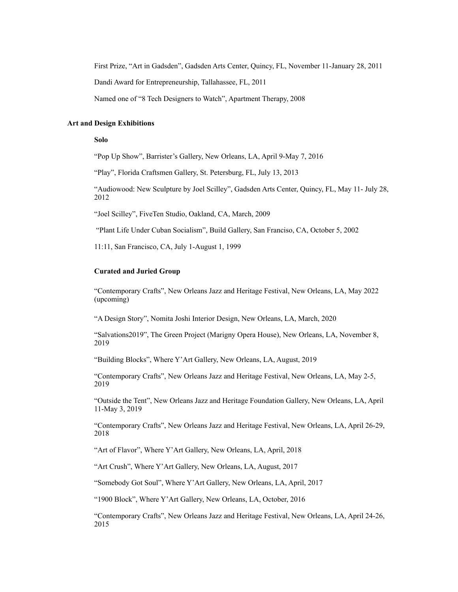First Prize, "Art in Gadsden", Gadsden Arts Center, Quincy, FL, November 11-January 28, 2011

Dandi Award for Entrepreneurship, Tallahassee, FL, 2011

Named one of "8 Tech Designers to Watch", Apartment Therapy, 2008

# **Art and Design Exhibitions**

### **Solo**

"Pop Up Show", Barrister's Gallery, New Orleans, LA, April 9-May 7, 2016

"Play", Florida Craftsmen Gallery, St. Petersburg, FL, July 13, 2013

"Audiowood: New Sculpture by Joel Scilley", Gadsden Arts Center, Quincy, FL, May 11- July 28, 2012

"Joel Scilley", FiveTen Studio, Oakland, CA, March, 2009

"Plant Life Under Cuban Socialism", Build Gallery, San Franciso, CA, October 5, 2002

11:11, San Francisco, CA, July 1-August 1, 1999

# **Curated and Juried Group**

"Contemporary Crafts", New Orleans Jazz and Heritage Festival, New Orleans, LA, May 2022 (upcoming)

"A Design Story", Nomita Joshi Interior Design, New Orleans, LA, March, 2020

"Salvations2019", The Green Project (Marigny Opera House), New Orleans, LA, November 8, 2019

"Building Blocks", Where Y'Art Gallery, New Orleans, LA, August, 2019

"Contemporary Crafts", New Orleans Jazz and Heritage Festival, New Orleans, LA, May 2-5, 2019

"Outside the Tent", New Orleans Jazz and Heritage Foundation Gallery, New Orleans, LA, April 11-May 3, 2019

"Contemporary Crafts", New Orleans Jazz and Heritage Festival, New Orleans, LA, April 26-29, 2018

"Art of Flavor", Where Y'Art Gallery, New Orleans, LA, April, 2018

"Art Crush", Where Y'Art Gallery, New Orleans, LA, August, 2017

"Somebody Got Soul", Where Y'Art Gallery, New Orleans, LA, April, 2017

"1900 Block", Where Y'Art Gallery, New Orleans, LA, October, 2016

"Contemporary Crafts", New Orleans Jazz and Heritage Festival, New Orleans, LA, April 24-26, 2015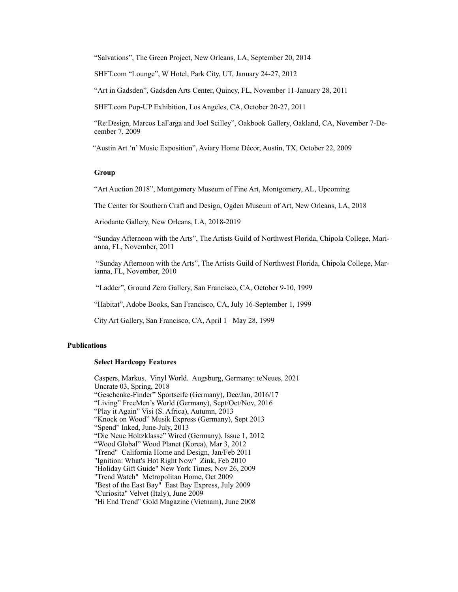"Salvations", The Green Project, New Orleans, LA, September 20, 2014

SHFT.com "Lounge", W Hotel, Park City, UT, January 24-27, 2012

"Art in Gadsden", Gadsden Arts Center, Quincy, FL, November 11-January 28, 2011

SHFT.com Pop-UP Exhibition, Los Angeles, CA, October 20-27, 2011

"Re:Design, Marcos LaFarga and Joel Scilley", Oakbook Gallery, Oakland, CA, November 7-December 7, 2009

"Austin Art 'n' Music Exposition", Aviary Home Décor, Austin, TX, October 22, 2009

### **Group**

"Art Auction 2018", Montgomery Museum of Fine Art, Montgomery, AL, Upcoming

The Center for Southern Craft and Design, Ogden Museum of Art, New Orleans, LA, 2018

Ariodante Gallery, New Orleans, LA, 2018-2019

"Sunday Afternoon with the Arts", The Artists Guild of Northwest Florida, Chipola College, Marianna, FL, November, 2011

 "Sunday Afternoon with the Arts", The Artists Guild of Northwest Florida, Chipola College, Marianna, FL, November, 2010

"Ladder", Ground Zero Gallery, San Francisco, CA, October 9-10, 1999

"Habitat", Adobe Books, San Francisco, CA, July 16-September 1, 1999

City Art Gallery, San Francisco, CA, April 1 –May 28, 1999

## **Publications**

# **Select Hardcopy Features**

Caspers, Markus. Vinyl World. Augsburg, Germany: teNeues, 2021 Uncrate 03, Spring, 2018 "Geschenke-Finder" Sportseife (Germany), Dec/Jan, 2016/17 "Living" FreeMen's World (Germany), Sept/Oct/Nov, 2016 "Play it Again" Visi (S. Africa), Autumn, 2013 "Knock on Wood" Musik Express (Germany), Sept 2013 "Spend" Inked, June-July, 2013 "Die Neue Holtzklasse" Wired (Germany), Issue 1, 2012 "Wood Global" Wood Planet (Korea), Mar 3, 2012 "Trend" California Home and Design, Jan/Feb 2011 "Ignition: What's Hot Right Now" Zink, Feb 2010 "Holiday Gift Guide" New York Times, Nov 26, 2009 "Trend Watch" Metropolitan Home, Oct 2009 "Best of the East Bay" East Bay Express, July 2009 "Curiosita" Velvet (Italy), June 2009 "Hi End Trend" Gold Magazine (Vietnam), June 2008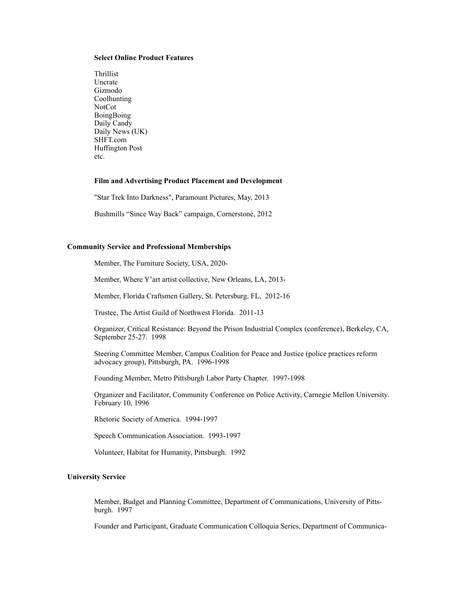### **Select Online Product Features**

Thrillist Uncrate Gizmodo Coolhunting NotCot BoingBoing Daily Candy Daily News (UK) SHFT.com Huffington Post etc.

## **Film and Advertising Product Placement and Development**

"Star Trek Into Darkness", Paramount Pictures, May, 2013

Bushmills "Since Way Back" campaign, Cornerstone, 2012

## **Community Service and Professional Memberships**

Member, The Furniture Society, USA, 2020-

Member, Where Y'art artist collective, New Orleans, LA, 2013-

Member, Florida Craftsmen Gallery, St. Petersburg, FL, 2012-16

Trustee, The Artist Guild of Northwest Florida. 2011-13

Organizer, Critical Resistance: Beyond the Prison Industrial Complex (conference), Berkeley, CA, September 25-27. 1998

Steering Committee Member, Campus Coalition for Peace and Justice (police practices reform advocacy group), Pittsburgh, PA. 1996-1998

Founding Member, Metro Pittsburgh Labor Party Chapter. 1997-1998

Organizer and Facilitator, Community Conference on Police Activity, Carnegie Mellon University. February 10, 1996

Rhetoric Society of America. 1994-1997

Speech Communication Association. 1993-1997

Volunteer, Habitat for Humanity, Pittsburgh. 1992

## **University Service**

Member, Budget and Planning Committee, Department of Communications, University of Pittsburgh. 1997

Founder and Participant, Graduate Communication Colloquia Series, Department of Communica-